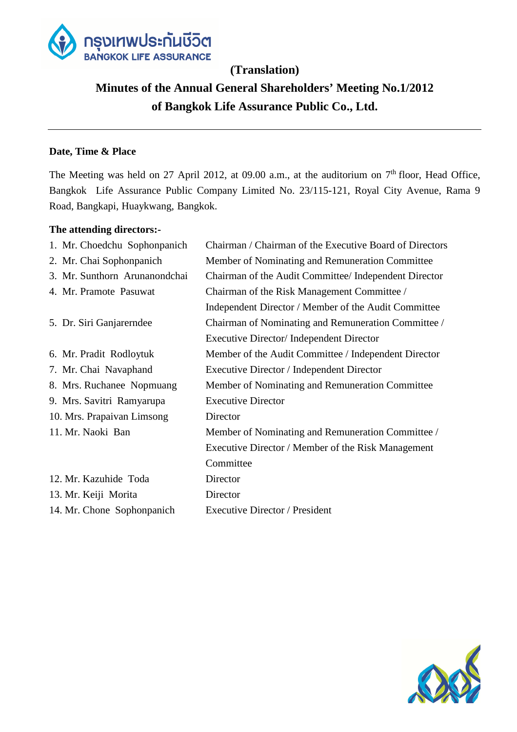

## **(Translation)**

# **Minutes of the Annual General Shareholders' Meeting No.1/2012 of Bangkok Life Assurance Public Co., Ltd.**

## **Date, Time & Place**

The Meeting was held on 27 April 2012, at 09.00 a.m., at the auditorium on  $7<sup>th</sup>$  floor, Head Office, Bangkok Life Assurance Public Company Limited No. 23/115-121, Royal City Avenue, Rama 9 Road, Bangkapi, Huaykwang, Bangkok.

## **The attending directors:-**

| 1. Mr. Choedchu Sophonpanich  | Chairman / Chairman of the Executive Board of Directors |
|-------------------------------|---------------------------------------------------------|
| 2. Mr. Chai Sophonpanich      | Member of Nominating and Remuneration Committee         |
| 3. Mr. Sunthorn Arunanondchai | Chairman of the Audit Committee/ Independent Director   |
| 4. Mr. Pramote Pasuwat        | Chairman of the Risk Management Committee /             |
|                               | Independent Director / Member of the Audit Committee    |
| 5. Dr. Siri Ganjarerndee      | Chairman of Nominating and Remuneration Committee /     |
|                               | Executive Director/ Independent Director                |
| 6. Mr. Pradit Rodloytuk       | Member of the Audit Committee / Independent Director    |
| 7. Mr. Chai Navaphand         | Executive Director / Independent Director               |
| 8. Mrs. Ruchanee Nopmuang     | Member of Nominating and Remuneration Committee         |
| 9. Mrs. Savitri Ramyarupa     | <b>Executive Director</b>                               |
| 10. Mrs. Prapaivan Limsong    | Director                                                |
| 11. Mr. Naoki Ban             | Member of Nominating and Remuneration Committee /       |
|                               | Executive Director / Member of the Risk Management      |
|                               | Committee                                               |
| 12. Mr. Kazuhide Toda         | Director                                                |
| 13. Mr. Keiji Morita          | Director                                                |
| 14. Mr. Chone Sophonpanich    | <b>Executive Director / President</b>                   |
|                               |                                                         |

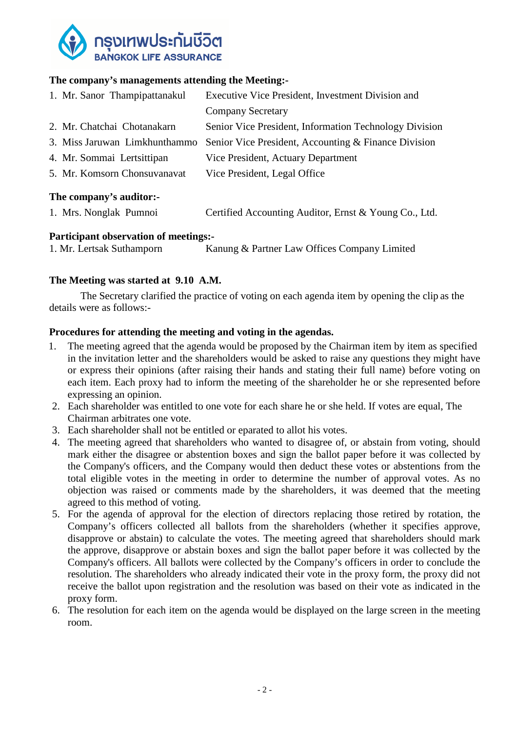

## **The company's managements attending the Meeting:-**

| 1. Mr. Sanor Thampipattanakul                                | Executive Vice President, Investment Division and      |
|--------------------------------------------------------------|--------------------------------------------------------|
|                                                              | <b>Company Secretary</b>                               |
| 2. Mr. Chatchai Chotanakarn                                  | Senior Vice President, Information Technology Division |
| 3. Miss Jaruwan Limkhunthammo                                | Senior Vice President, Accounting & Finance Division   |
| 4. Mr. Sommai Lertsittipan                                   | Vice President, Actuary Department                     |
| 5. Mr. Komsorn Chonsuvanavat                                 | Vice President, Legal Office                           |
| The common $\mathcal{C}_{\alpha}$ and $\mathcal{C}_{\alpha}$ |                                                        |

#### **The company's auditor:-**

| 1. Mrs. Nonglak Pumnoi | Certified Accounting Auditor, Ernst & Young Co., Ltd. |  |
|------------------------|-------------------------------------------------------|--|
|------------------------|-------------------------------------------------------|--|

#### **Participant observation of meetings:-**

```
1. Mr. Lertsak Suthamporn Kanung & Partner Law Offices Company Limited
```
## **The Meeting was started at 9.10 A.M.**

The Secretary clarified the practice of voting on each agenda item by opening the clip as the details were as follows:-

#### **Procedures for attending the meeting and voting in the agendas.**

- 1. The meeting agreed that the agenda would be proposed by the Chairman item by item as specified in the invitation letter and the shareholders would be asked to raise any questions they might have or express their opinions (after raising their hands and stating their full name) before voting on each item. Each proxy had to inform the meeting of the shareholder he or she represented before expressing an opinion.
- 2. Each shareholder was entitled to one vote for each share he or she held. If votes are equal, The Chairman arbitrates one vote.
- 3. Each shareholder shall not be entitled or eparated to allot his votes.
- 4. The meeting agreed that shareholders who wanted to disagree of, or abstain from voting, should mark either the disagree or abstention boxes and sign the ballot paper before it was collected by the Company's officers, and the Company would then deduct these votes or abstentions from the total eligible votes in the meeting in order to determine the number of approval votes. As no objection was raised or comments made by the shareholders, it was deemed that the meeting agreed to this method of voting.
- 5. For the agenda of approval for the election of directors replacing those retired by rotation, the Company's officers collected all ballots from the shareholders (whether it specifies approve, disapprove or abstain) to calculate the votes. The meeting agreed that shareholders should mark the approve, disapprove or abstain boxes and sign the ballot paper before it was collected by the Company's officers. All ballots were collected by the Company's officers in order to conclude the resolution. The shareholders who already indicated their vote in the proxy form, the proxy did not receive the ballot upon registration and the resolution was based on their vote as indicated in the proxy form.
- 6. The resolution for each item on the agenda would be displayed on the large screen in the meeting room.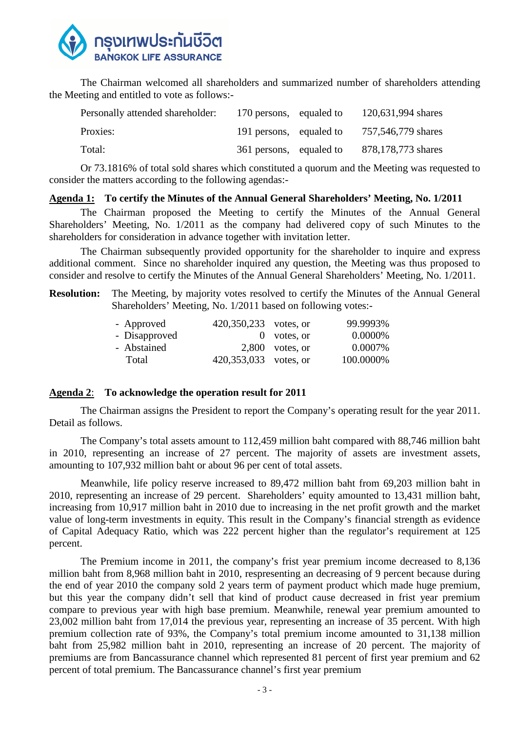

The Chairman welcomed all shareholders and summarized number of shareholders attending the Meeting and entitled to vote as follows:-

| Personally attended shareholder: | 170 persons, equaled to | 120,631,994 shares |
|----------------------------------|-------------------------|--------------------|
| Proxies:                         | 191 persons, equaled to | 757,546,779 shares |
| Total:                           | 361 persons, equaled to | 878,178,773 shares |

 Or 73.1816% of total sold shares which constituted a quorum and the Meeting was requested to consider the matters according to the following agendas:-

#### **Agenda 1: To certify the Minutes of the Annual General Shareholders' Meeting, No. 1/2011**

 The Chairman proposed the Meeting to certify the Minutes of the Annual General Shareholders' Meeting, No. 1/2011 as the company had delivered copy of such Minutes to the shareholders for consideration in advance together with invitation letter.

 The Chairman subsequently provided opportunity for the shareholder to inquire and express additional comment. Since no shareholder inquired any question, the Meeting was thus proposed to consider and resolve to certify the Minutes of the Annual General Shareholders' Meeting, No. 1/2011.

### **Resolution:** The Meeting, by majority votes resolved to certify the Minutes of the Annual General Shareholders' Meeting, No. 1/2011 based on following votes:-

|  | 99.9993%                                                                             |
|--|--------------------------------------------------------------------------------------|
|  | 0.0000%                                                                              |
|  | 0.0007%                                                                              |
|  | 100.0000%                                                                            |
|  | 420,350,233 votes, or<br>$0$ votes, or<br>$2,800$ votes, or<br>420,353,033 votes, or |

#### **Agenda 2**: **To acknowledge the operation result for 2011**

The Chairman assigns the President to report the Company's operating result for the year 2011. Detail as follows.

The Company's total assets amount to 112,459 million baht compared with 88,746 million baht in 2010, representing an increase of 27 percent. The majority of assets are investment assets, amounting to 107,932 million baht or about 96 per cent of total assets.

Meanwhile, life policy reserve increased to 89,472 million baht from 69,203 million baht in 2010, representing an increase of 29 percent. Shareholders' equity amounted to 13,431 million baht, increasing from 10,917 million baht in 2010 due to increasing in the net profit growth and the market value of long-term investments in equity. This result in the Company's financial strength as evidence of Capital Adequacy Ratio, which was 222 percent higher than the regulator's requirement at 125 percent.

The Premium income in 2011, the company's frist year premium income decreased to 8,136 million baht from 8,968 million baht in 2010, respresenting an decreasing of 9 percent because during the end of year 2010 the company sold 2 years term of payment product which made huge premium, but this year the company didn't sell that kind of product cause decreased in frist year premium compare to previous year with high base premium. Meanwhile, renewal year premium amounted to 23,002 million baht from 17,014 the previous year, representing an increase of 35 percent. With high premium collection rate of 93%, the Company's total premium income amounted to 31,138 million baht from 25,982 million baht in 2010, representing an increase of 20 percent. The majority of premiums are from Bancassurance channel which represented 81 percent of first year premium and 62 percent of total premium. The Bancassurance channel's first year premium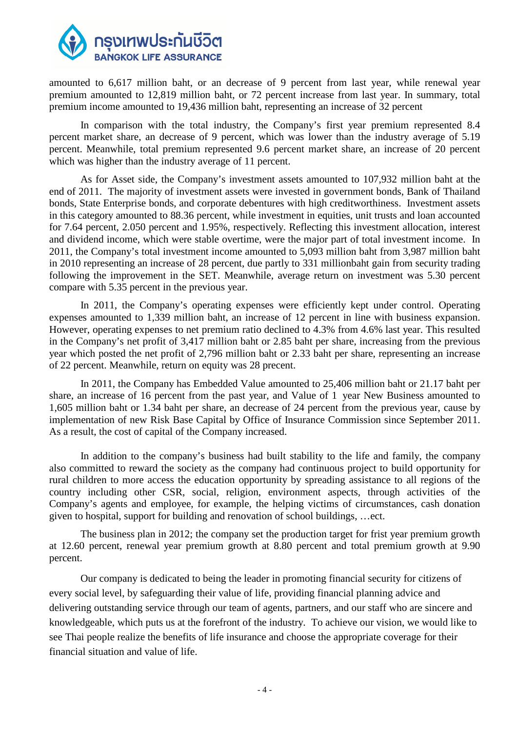

amounted to 6,617 million baht, or an decrease of 9 percent from last year, while renewal year premium amounted to 12,819 million baht, or 72 percent increase from last year. In summary, total premium income amounted to 19,436 million baht, representing an increase of 32 percent

In comparison with the total industry, the Company's first year premium represented 8.4 percent market share, an decrease of 9 percent, which was lower than the industry average of 5.19 percent. Meanwhile, total premium represented 9.6 percent market share, an increase of 20 percent which was higher than the industry average of 11 percent.

As for Asset side, the Company's investment assets amounted to 107,932 million baht at the end of 2011. The majority of investment assets were invested in government bonds, Bank of Thailand bonds, State Enterprise bonds, and corporate debentures with high creditworthiness. Investment assets in this category amounted to 88.36 percent, while investment in equities, unit trusts and loan accounted for 7.64 percent, 2.050 percent and 1.95%, respectively. Reflecting this investment allocation, interest and dividend income, which were stable overtime, were the major part of total investment income. In 2011, the Company's total investment income amounted to 5,093 million baht from 3,987 million baht in 2010 representing an increase of 28 percent, due partly to 331 millionbaht gain from security trading following the improvement in the SET. Meanwhile, average return on investment was 5.30 percent compare with 5.35 percent in the previous year.

In 2011, the Company's operating expenses were efficiently kept under control. Operating expenses amounted to 1,339 million baht, an increase of 12 percent in line with business expansion. However, operating expenses to net premium ratio declined to 4.3% from 4.6% last year. This resulted in the Company's net profit of 3,417 million baht or 2.85 baht per share, increasing from the previous year which posted the net profit of 2,796 million baht or 2.33 baht per share, representing an increase of 22 percent. Meanwhile, return on equity was 28 precent.

In 2011, the Company has Embedded Value amounted to 25,406 million baht or 21.17 baht per share, an increase of 16 percent from the past year, and Value of 1 year New Business amounted to 1,605 million baht or 1.34 baht per share, an decrease of 24 percent from the previous year, cause by implementation of new Risk Base Capital by Office of Insurance Commission since September 2011. As a result, the cost of capital of the Company increased.

In addition to the company's business had built stability to the life and family, the company also committed to reward the society as the company had continuous project to build opportunity for rural children to more access the education opportunity by spreading assistance to all regions of the country including other CSR, social, religion, environment aspects, through activities of the Company's agents and employee, for example, the helping victims of circumstances, cash donation given to hospital, support for building and renovation of school buildings, …ect.

The business plan in 2012; the company set the production target for frist year premium growth at 12.60 percent, renewal year premium growth at 8.80 percent and total premium growth at 9.90 percent.

Our company is dedicated to being the leader in promoting financial security for citizens of every social level, by safeguarding their value of life, providing financial planning advice and delivering outstanding service through our team of agents, partners, and our staff who are sincere and knowledgeable, which puts us at the forefront of the industry. To achieve our vision, we would like to see Thai people realize the benefits of life insurance and choose the appropriate coverage for their financial situation and value of life.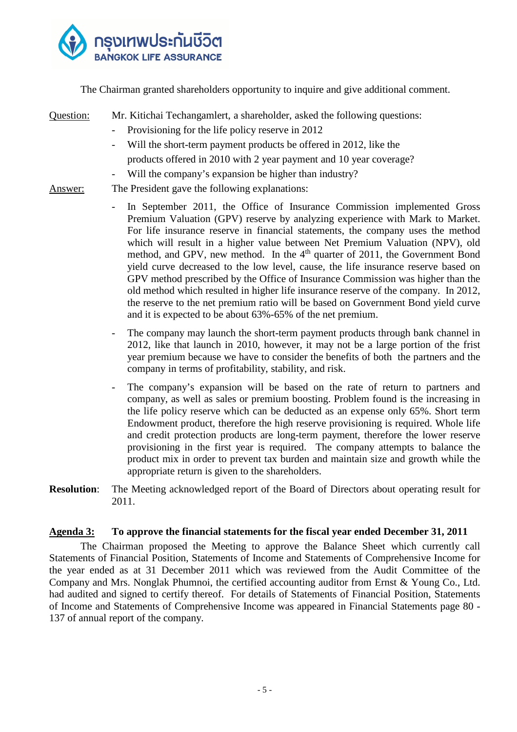

The Chairman granted shareholders opportunity to inquire and give additional comment.

- Question: Mr. Kitichai Techangamlert, a shareholder, asked the following questions: - Provisioning for the life policy reserve in 2012 Will the short-term payment products be offered in 2012, like the products offered in 2010 with 2 year payment and 10 year coverage? Will the company's expansion be higher than industry?
- Answer: The President gave the following explanations:
	- In September 2011, the Office of Insurance Commission implemented Gross Premium Valuation (GPV) reserve by analyzing experience with Mark to Market. For life insurance reserve in financial statements, the company uses the method which will result in a higher value between Net Premium Valuation (NPV), old method, and GPV, new method. In the  $4<sup>th</sup>$  quarter of 2011, the Government Bond yield curve decreased to the low level, cause, the life insurance reserve based on GPV method prescribed by the Office of Insurance Commission was higher than the old method which resulted in higher life insurance reserve of the company. In 2012, the reserve to the net premium ratio will be based on Government Bond yield curve and it is expected to be about 63%-65% of the net premium.
	- The company may launch the short-term payment products through bank channel in 2012, like that launch in 2010, however, it may not be a large portion of the frist year premium because we have to consider the benefits of both the partners and the company in terms of profitability, stability, and risk.
	- The company's expansion will be based on the rate of return to partners and company, as well as sales or premium boosting. Problem found is the increasing in the life policy reserve which can be deducted as an expense only 65%. Short term Endowment product, therefore the high reserve provisioning is required. Whole life and credit protection products are long-term payment, therefore the lower reserve provisioning in the first year is required. The company attempts to balance the product mix in order to prevent tax burden and maintain size and growth while the appropriate return is given to the shareholders.
- **Resolution**: The Meeting acknowledged report of the Board of Directors about operating result for 2011.

#### **Agenda 3: To approve the financial statements for the fiscal year ended December 31, 2011**

The Chairman proposed the Meeting to approve the Balance Sheet which currently call Statements of Financial Position, Statements of Income and Statements of Comprehensive Income for the year ended as at 31 December 2011 which was reviewed from the Audit Committee of the Company and Mrs. Nonglak Phumnoi, the certified accounting auditor from Ernst & Young Co., Ltd. had audited and signed to certify thereof. For details of Statements of Financial Position, Statements of Income and Statements of Comprehensive Income was appeared in Financial Statements page 80 - 137 of annual report of the company.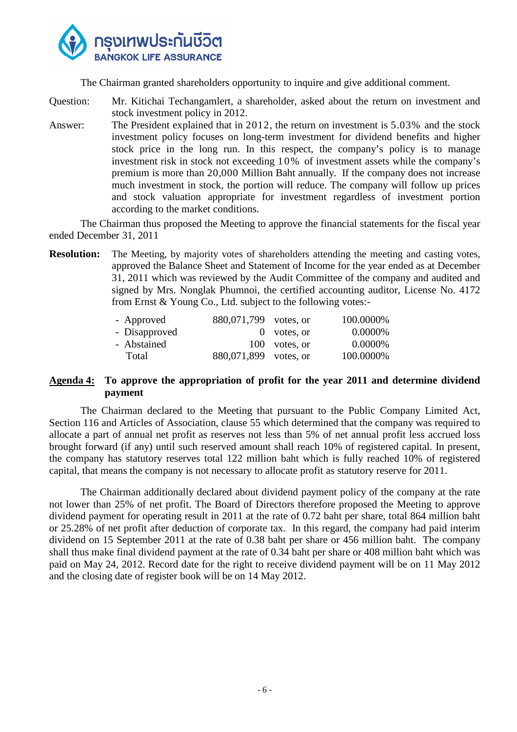

The Chairman granted shareholders opportunity to inquire and give additional comment.

Question: Mr. Kitichai Techangamlert, a shareholder, asked about the return on investment and stock investment policy in 2012.

Answer: The President explained that in 2012, the return on investment is 5.03% and the stock investment policy focuses on long-term investment for dividend benefits and higher stock price in the long run. In this respect, the company's policy is to manage investment risk in stock not exceeding 10% of investment assets while the company's premium is more than 20,000 Million Baht annually. If the company does not increase much investment in stock, the portion will reduce. The company will follow up prices and stock valuation appropriate for investment regardless of investment portion according to the market conditions.

The Chairman thus proposed the Meeting to approve the financial statements for the fiscal year ended December 31, 2011

**Resolution:** The Meeting, by majority votes of shareholders attending the meeting and casting votes, approved the Balance Sheet and Statement of Income for the year ended as at December 31, 2011 which was reviewed by the Audit Committee of the company and audited and signed by Mrs. Nonglak Phumnoi, the certified accounting auditor, License No. 4172 from Ernst & Young Co., Ltd. subject to the following votes:-

| - Approved    | 880,071,799 votes, or |               | 100.0000% |
|---------------|-----------------------|---------------|-----------|
| - Disapproved |                       | $0$ votes, or | 0.0000%   |
| - Abstained   |                       | 100 votes, or | 0.0000%   |
| Total         | 880,071,899 votes, or |               | 100.0000% |
|               |                       |               |           |

#### **Agenda 4: To approve the appropriation of profit for the year 2011 and determine dividend payment**

 The Chairman declared to the Meeting that pursuant to the Public Company Limited Act, Section 116 and Articles of Association, clause 55 which determined that the company was required to allocate a part of annual net profit as reserves not less than 5% of net annual profit less accrued loss brought forward (if any) until such reserved amount shall reach 10% of registered capital. In present, the company has statutory reserves total 122 million baht which is fully reached 10% of registered capital, that means the company is not necessary to allocate profit as statutory reserve for 2011.

 The Chairman additionally declared about dividend payment policy of the company at the rate not lower than 25% of net profit. The Board of Directors therefore proposed the Meeting to approve dividend payment for operating result in 2011 at the rate of 0.72 baht per share, total 864 million baht or 25.28% of net profit after deduction of corporate tax. In this regard, the company had paid interim dividend on 15 September 2011 at the rate of 0.38 baht per share or 456 million baht. The company shall thus make final dividend payment at the rate of 0.34 baht per share or 408 million baht which was paid on May 24, 2012. Record date for the right to receive dividend payment will be on 11 May 2012 and the closing date of register book will be on 14 May 2012.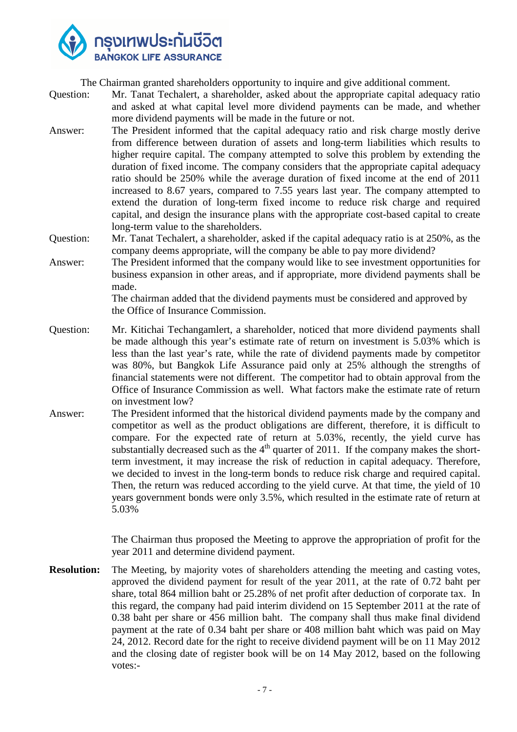

The Chairman granted shareholders opportunity to inquire and give additional comment.

- Question: Mr. Tanat Techalert, a shareholder, asked about the appropriate capital adequacy ratio and asked at what capital level more dividend payments can be made, and whether more dividend payments will be made in the future or not.
- Answer: The President informed that the capital adequacy ratio and risk charge mostly derive from difference between duration of assets and long-term liabilities which results to higher require capital. The company attempted to solve this problem by extending the duration of fixed income. The company considers that the appropriate capital adequacy ratio should be 250% while the average duration of fixed income at the end of 2011 increased to 8.67 years, compared to 7.55 years last year. The company attempted to extend the duration of long-term fixed income to reduce risk charge and required capital, and design the insurance plans with the appropriate cost-based capital to create long-term value to the shareholders.
- Question: Mr. Tanat Techalert, a shareholder, asked if the capital adequacy ratio is at 250%, as the company deems appropriate, will the company be able to pay more dividend?
- Answer: The President informed that the company would like to see investment opportunities for business expansion in other areas, and if appropriate, more dividend payments shall be made.

The chairman added that the dividend payments must be considered and approved by the Office of Insurance Commission.

- Question: Mr. Kitichai Techangamlert, a shareholder, noticed that more dividend payments shall be made although this year's estimate rate of return on investment is 5.03% which is less than the last year's rate, while the rate of dividend payments made by competitor was 80%, but Bangkok Life Assurance paid only at 25% although the strengths of financial statements were not different. The competitor had to obtain approval from the Office of Insurance Commission as well. What factors make the estimate rate of return on investment low?
- Answer: The President informed that the historical dividend payments made by the company and competitor as well as the product obligations are different, therefore, it is difficult to compare. For the expected rate of return at 5.03%, recently, the yield curve has substantially decreased such as the  $4<sup>th</sup>$  quarter of 2011. If the company makes the shortterm investment, it may increase the risk of reduction in capital adequacy. Therefore, we decided to invest in the long-term bonds to reduce risk charge and required capital. Then, the return was reduced according to the yield curve. At that time, the yield of 10 years government bonds were only 3.5%, which resulted in the estimate rate of return at 5.03%

The Chairman thus proposed the Meeting to approve the appropriation of profit for the year 2011 and determine dividend payment.

**Resolution:** The Meeting, by majority votes of shareholders attending the meeting and casting votes, approved the dividend payment for result of the year 2011, at the rate of 0.72 baht per share, total 864 million baht or 25.28% of net profit after deduction of corporate tax. In this regard, the company had paid interim dividend on 15 September 2011 at the rate of 0.38 baht per share or 456 million baht. The company shall thus make final dividend payment at the rate of 0.34 baht per share or 408 million baht which was paid on May 24, 2012. Record date for the right to receive dividend payment will be on 11 May 2012 and the closing date of register book will be on 14 May 2012, based on the following votes:-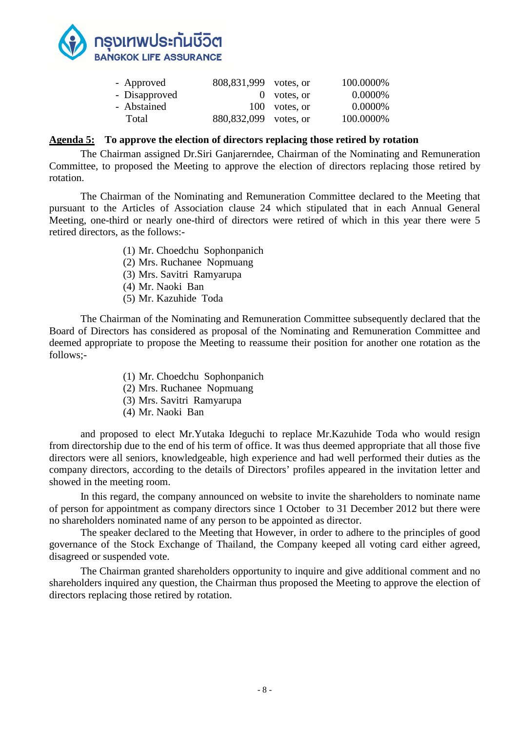

| - Approved    | 808,831,999 votes, or   |               | 100.0000% |
|---------------|-------------------------|---------------|-----------|
| - Disapproved |                         | $0$ votes, or | 0.0000%   |
| - Abstained   |                         | 100 votes, or | 0.0000%   |
| Total         | 880, 832, 099 votes, or |               | 100.0000% |

#### **Agenda 5: To approve the election of directors replacing those retired by rotation**

 The Chairman assigned Dr.Siri Ganjarerndee, Chairman of the Nominating and Remuneration Committee, to proposed the Meeting to approve the election of directors replacing those retired by rotation.

The Chairman of the Nominating and Remuneration Committee declared to the Meeting that pursuant to the Articles of Association clause 24 which stipulated that in each Annual General Meeting, one-third or nearly one-third of directors were retired of which in this year there were 5 retired directors, as the follows:-

- (1) Mr. Choedchu Sophonpanich
- (2) Mrs. Ruchanee Nopmuang
- (3) Mrs. Savitri Ramyarupa
- (4) Mr. Naoki Ban
- (5) Mr. Kazuhide Toda

The Chairman of the Nominating and Remuneration Committee subsequently declared that the Board of Directors has considered as proposal of the Nominating and Remuneration Committee and deemed appropriate to propose the Meeting to reassume their position for another one rotation as the follows;-

- (1) Mr. Choedchu Sophonpanich
- (2) Mrs. Ruchanee Nopmuang
- (3) Mrs. Savitri Ramyarupa
- (4) Mr. Naoki Ban

and proposed to elect Mr.Yutaka Ideguchi to replace Mr.Kazuhide Toda who would resign from directorship due to the end of his term of office. It was thus deemed appropriate that all those five directors were all seniors, knowledgeable, high experience and had well performed their duties as the company directors, according to the details of Directors' profiles appeared in the invitation letter and showed in the meeting room.

In this regard, the company announced on website to invite the shareholders to nominate name of person for appointment as company directors since 1 October to 31 December 2012 but there were no shareholders nominated name of any person to be appointed as director.

The speaker declared to the Meeting that However, in order to adhere to the principles of good governance of the Stock Exchange of Thailand, the Company keeped all voting card either agreed, disagreed or suspended vote.

The Chairman granted shareholders opportunity to inquire and give additional comment and no shareholders inquired any question, the Chairman thus proposed the Meeting to approve the election of directors replacing those retired by rotation.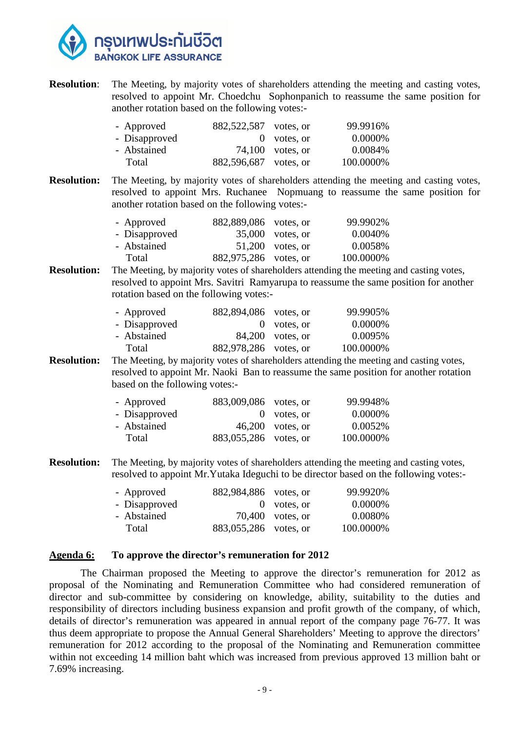

**Resolution:** The Meeting, by majority votes of shareholders attending the meeting and casting votes, resolved to appoint Mr. Choedchu Sophonpanich to reassume the same position for another rotation based on the following votes:-

| - Approved    | 882,522,587 votes, or |                    | 99.9916%  |
|---------------|-----------------------|--------------------|-----------|
| - Disapproved |                       | $0$ votes, or      | 0.0000%   |
| - Abstained   |                       | $74,100$ votes, or | 0.0084%   |
| Total         | 882,596,687 votes, or |                    | 100.0000% |

**Resolution:** The Meeting, by majority votes of shareholders attending the meeting and casting votes, resolved to appoint Mrs. Ruchanee Nopmuang to reassume the same position for another rotation based on the following votes:-

| - Approved    | 882,889,086 votes, or |                    | 99.9902%  |
|---------------|-----------------------|--------------------|-----------|
| - Disapproved |                       | $35,000$ votes, or | 0.0040\%  |
| - Abstained   |                       | $51,200$ votes, or | 0.0058%   |
| Total         | 882,975,286 votes, or |                    | 100.0000% |

**Resolution:** The Meeting, by majority votes of shareholders attending the meeting and casting votes, resolved to appoint Mrs. Savitri Ramyarupa to reassume the same position for another rotation based on the following votes:-

| - Approved    | 882,894,086 votes, or |                  | 99.9905%  |
|---------------|-----------------------|------------------|-----------|
| - Disapproved |                       | $0$ votes, or    | 0.0000%   |
| - Abstained   |                       | 84,200 votes, or | 0.0095%   |
| Total         | 882,978,286 votes, or |                  | 100.0000% |

**Resolution:** The Meeting, by majority votes of shareholders attending the meeting and casting votes, resolved to appoint Mr. Naoki Ban to reassume the same position for another rotation based on the following votes:-

| - Approved    | 883,009,086 votes, or |                    | 99.9948%  |
|---------------|-----------------------|--------------------|-----------|
| - Disapproved |                       | $0$ votes, or      | 0.0000%   |
| - Abstained   |                       | $46,200$ votes, or | 0.0052%   |
| Total         | 883,055,286 votes, or |                    | 100.0000% |

**Resolution:** The Meeting, by majority votes of shareholders attending the meeting and casting votes, resolved to appoint Mr.Yutaka Ideguchi to be director based on the following votes:-

| - Approved    | 882,984,886 votes, or |                    | 99.9920%  |
|---------------|-----------------------|--------------------|-----------|
| - Disapproved |                       | $0$ votes, or      | 0.0000\%  |
| - Abstained   |                       | $70,400$ votes, or | 0.0080%   |
| Total         | 883,055,286 votes, or |                    | 100.0000% |

#### **Agenda 6: To approve the director's remuneration for 2012**

The Chairman proposed the Meeting to approve the director's remuneration for 2012 as proposal of the Nominating and Remuneration Committee who had considered remuneration of director and sub-committee by considering on knowledge, ability, suitability to the duties and responsibility of directors including business expansion and profit growth of the company, of which, details of director's remuneration was appeared in annual report of the company page 76-77. It was thus deem appropriate to propose the Annual General Shareholders' Meeting to approve the directors' remuneration for 2012 according to the proposal of the Nominating and Remuneration committee within not exceeding 14 million baht which was increased from previous approved 13 million baht or 7.69% increasing.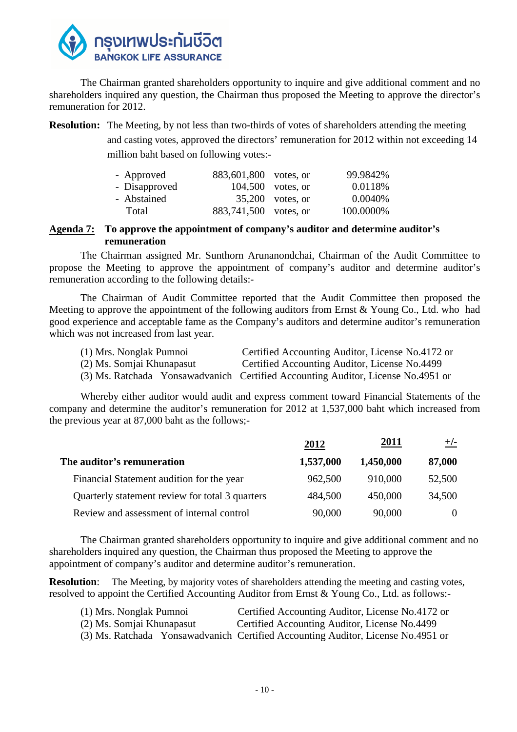

The Chairman granted shareholders opportunity to inquire and give additional comment and no shareholders inquired any question, the Chairman thus proposed the Meeting to approve the director's remuneration for 2012.

**Resolution:** The Meeting, by not less than two-thirds of votes of shareholders attending the meeting and casting votes, approved the directors' remuneration for 2012 within not exceeding 14 million baht based on following votes:-

| - Approved    | 883,601,800 votes, or |                    | 99.9842%  |
|---------------|-----------------------|--------------------|-----------|
| - Disapproved |                       | 104,500 votes, or  | 0.0118%   |
| - Abstained   |                       | $35,200$ votes, or | 0.0040\%  |
| Total         | 883,741,500 votes, or |                    | 100.0000% |

**Agenda 7: To approve the appointment of company's auditor and determine auditor's remuneration** 

 The Chairman assigned Mr. Sunthorn Arunanondchai, Chairman of the Audit Committee to propose the Meeting to approve the appointment of company's auditor and determine auditor's remuneration according to the following details:-

 The Chairman of Audit Committee reported that the Audit Committee then proposed the Meeting to approve the appointment of the following auditors from Ernst & Young Co., Ltd. who had good experience and acceptable fame as the Company's auditors and determine auditor's remuneration which was not increased from last year.

| (1) Mrs. Nonglak Pumnoi   | Certified Accounting Auditor, License No.4172 or                                 |
|---------------------------|----------------------------------------------------------------------------------|
| (2) Ms. Somjai Khunapasut | Certified Accounting Auditor, License No.4499                                    |
|                           | (3) Ms. Ratchada Yonsawadvanich Certified Accounting Auditor, License No.4951 or |

Whereby either auditor would audit and express comment toward Financial Statements of the company and determine the auditor's remuneration for 2012 at 1,537,000 baht which increased from the previous year at 87,000 baht as the follows;-

|                                                 | 2012      | 2011      | $+/-$  |
|-------------------------------------------------|-----------|-----------|--------|
| The auditor's remuneration                      | 1,537,000 | 1,450,000 | 87,000 |
| Financial Statement audition for the year       | 962,500   | 910,000   | 52,500 |
| Quarterly statement review for total 3 quarters | 484,500   | 450,000   | 34,500 |
| Review and assessment of internal control       | 90,000    | 90,000    |        |

The Chairman granted shareholders opportunity to inquire and give additional comment and no shareholders inquired any question, the Chairman thus proposed the Meeting to approve the appointment of company's auditor and determine auditor's remuneration.

**Resolution:** The Meeting, by majority votes of shareholders attending the meeting and casting votes, resolved to appoint the Certified Accounting Auditor from Ernst & Young Co., Ltd. as follows:-

| (1) Mrs. Nonglak Pumnoi   | Certified Accounting Auditor, License No.4172 or                                 |
|---------------------------|----------------------------------------------------------------------------------|
| (2) Ms. Somjai Khunapasut | Certified Accounting Auditor, License No.4499                                    |
|                           | (3) Ms. Ratchada Yonsawadvanich Certified Accounting Auditor, License No.4951 or |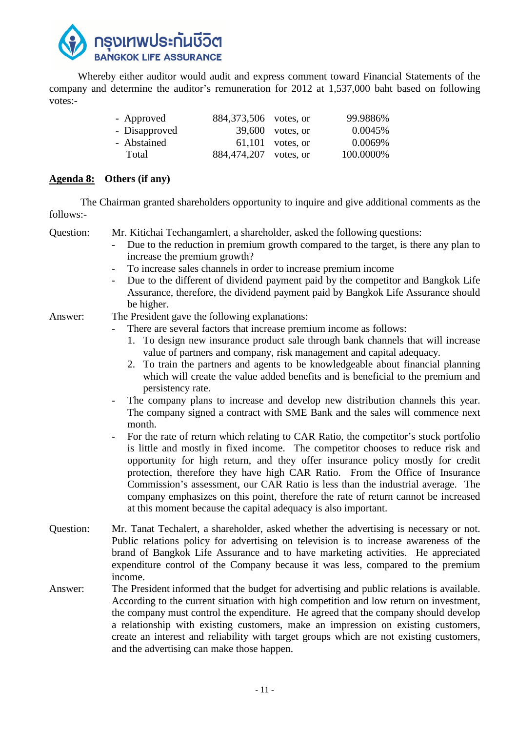

 Whereby either auditor would audit and express comment toward Financial Statements of the company and determine the auditor's remuneration for 2012 at 1,537,000 baht based on following votes:-

| - Approved    | 884, 373, 506 votes, or |                    | 99.9886%  |
|---------------|-------------------------|--------------------|-----------|
| - Disapproved |                         | 39,600 votes, or   | 0.0045%   |
| - Abstained   |                         | $61,101$ votes, or | 0.0069%   |
| Total         | 884,474,207 votes, or   |                    | 100.0000% |

### **Agenda 8: Others (if any)**

The Chairman granted shareholders opportunity to inquire and give additional comments as the follows:-

Question: Mr. Kitichai Techangamlert, a shareholder, asked the following questions:

- Due to the reduction in premium growth compared to the target, is there any plan to increase the premium growth?
- To increase sales channels in order to increase premium income
- Due to the different of dividend payment paid by the competitor and Bangkok Life Assurance, therefore, the dividend payment paid by Bangkok Life Assurance should be higher.

Answer: The President gave the following explanations:

- There are several factors that increase premium income as follows:
	- 1. To design new insurance product sale through bank channels that will increase value of partners and company, risk management and capital adequacy.
	- 2. To train the partners and agents to be knowledgeable about financial planning which will create the value added benefits and is beneficial to the premium and persistency rate.
- The company plans to increase and develop new distribution channels this year. The company signed a contract with SME Bank and the sales will commence next month.
- For the rate of return which relating to CAR Ratio, the competitor's stock portfolio is little and mostly in fixed income. The competitor chooses to reduce risk and opportunity for high return, and they offer insurance policy mostly for credit protection, therefore they have high CAR Ratio. From the Office of Insurance Commission's assessment, our CAR Ratio is less than the industrial average. The company emphasizes on this point, therefore the rate of return cannot be increased at this moment because the capital adequacy is also important.
- Question: Mr. Tanat Techalert, a shareholder, asked whether the advertising is necessary or not. Public relations policy for advertising on television is to increase awareness of the brand of Bangkok Life Assurance and to have marketing activities. He appreciated expenditure control of the Company because it was less, compared to the premium income.
- Answer: The President informed that the budget for advertising and public relations is available. According to the current situation with high competition and low return on investment, the company must control the expenditure. He agreed that the company should develop a relationship with existing customers, make an impression on existing customers, create an interest and reliability with target groups which are not existing customers, and the advertising can make those happen.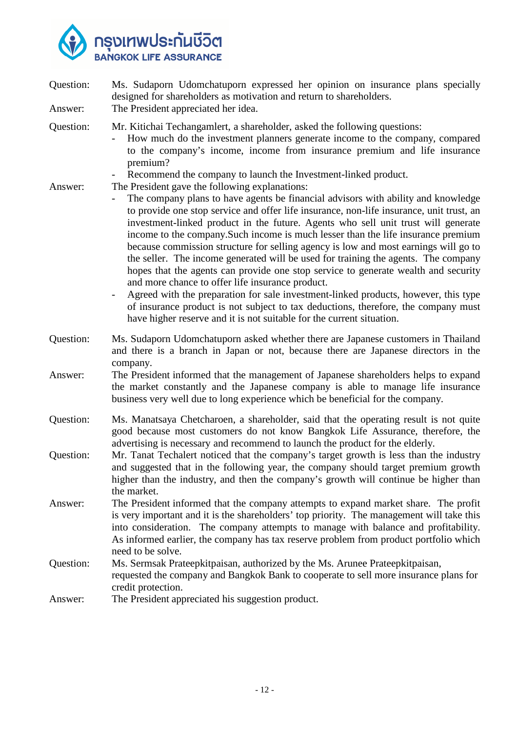

| Question: | Ms. Sudaporn Udomchatuporn expressed her opinion on insurance plans specially<br>designed for shareholders as motivation and return to shareholders.                                                                                                                                                                                                                                                                                                                                                                                                                                                                                                                                                                                                                                                                                                                                                                                                                                                                                                     |
|-----------|----------------------------------------------------------------------------------------------------------------------------------------------------------------------------------------------------------------------------------------------------------------------------------------------------------------------------------------------------------------------------------------------------------------------------------------------------------------------------------------------------------------------------------------------------------------------------------------------------------------------------------------------------------------------------------------------------------------------------------------------------------------------------------------------------------------------------------------------------------------------------------------------------------------------------------------------------------------------------------------------------------------------------------------------------------|
| Answer:   | The President appreciated her idea.                                                                                                                                                                                                                                                                                                                                                                                                                                                                                                                                                                                                                                                                                                                                                                                                                                                                                                                                                                                                                      |
| Question: | Mr. Kitichai Techangamlert, a shareholder, asked the following questions:<br>How much do the investment planners generate income to the company, compared<br>to the company's income, income from insurance premium and life insurance<br>premium?                                                                                                                                                                                                                                                                                                                                                                                                                                                                                                                                                                                                                                                                                                                                                                                                       |
| Answer:   | Recommend the company to launch the Investment-linked product.<br>The President gave the following explanations:<br>The company plans to have agents be financial advisors with ability and knowledge<br>to provide one stop service and offer life insurance, non-life insurance, unit trust, an<br>investment-linked product in the future. Agents who sell unit trust will generate<br>income to the company. Such income is much lesser than the life insurance premium<br>because commission structure for selling agency is low and most earnings will go to<br>the seller. The income generated will be used for training the agents. The company<br>hopes that the agents can provide one stop service to generate wealth and security<br>and more chance to offer life insurance product.<br>Agreed with the preparation for sale investment-linked products, however, this type<br>of insurance product is not subject to tax deductions, therefore, the company must<br>have higher reserve and it is not suitable for the current situation. |
| Question: | Ms. Sudaporn Udomchatuporn asked whether there are Japanese customers in Thailand<br>and there is a branch in Japan or not, because there are Japanese directors in the<br>company.                                                                                                                                                                                                                                                                                                                                                                                                                                                                                                                                                                                                                                                                                                                                                                                                                                                                      |
| Answer:   | The President informed that the management of Japanese shareholders helps to expand<br>the market constantly and the Japanese company is able to manage life insurance<br>business very well due to long experience which be beneficial for the company.                                                                                                                                                                                                                                                                                                                                                                                                                                                                                                                                                                                                                                                                                                                                                                                                 |
| Question: | Ms. Manatsaya Chetcharoen, a shareholder, said that the operating result is not quite<br>good because most customers do not know Bangkok Life Assurance, therefore, the<br>advertising is necessary and recommend to launch the product for the elderly.                                                                                                                                                                                                                                                                                                                                                                                                                                                                                                                                                                                                                                                                                                                                                                                                 |
| Question: | Mr. Tanat Techalert noticed that the company's target growth is less than the industry<br>and suggested that in the following year, the company should target premium growth<br>higher than the industry, and then the company's growth will continue be higher than<br>the market.                                                                                                                                                                                                                                                                                                                                                                                                                                                                                                                                                                                                                                                                                                                                                                      |
| Answer:   | The President informed that the company attempts to expand market share. The profit<br>is very important and it is the shareholders' top priority. The management will take this<br>into consideration. The company attempts to manage with balance and profitability.<br>As informed earlier, the company has tax reserve problem from product portfolio which<br>need to be solve.                                                                                                                                                                                                                                                                                                                                                                                                                                                                                                                                                                                                                                                                     |
| Question: | Ms. Sermsak Prateepkitpaisan, authorized by the Ms. Arunee Prateepkitpaisan,<br>requested the company and Bangkok Bank to cooperate to sell more insurance plans for<br>credit protection.                                                                                                                                                                                                                                                                                                                                                                                                                                                                                                                                                                                                                                                                                                                                                                                                                                                               |
| Answer:   | The President appreciated his suggestion product.                                                                                                                                                                                                                                                                                                                                                                                                                                                                                                                                                                                                                                                                                                                                                                                                                                                                                                                                                                                                        |